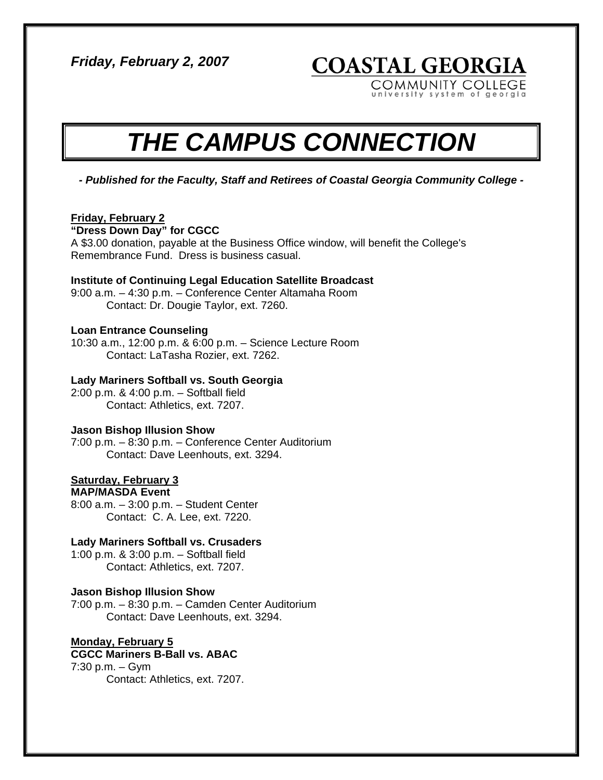*Friday, February 2, 2007* 

**COASTAL GEORGIA** 

COMMUNITY COLLEGE versity system of georgia

# *THE CAMPUS CONNECTION*

*- Published for the Faculty, Staff and Retirees of Coastal Georgia Community College -* 

# **Friday, February 2**

#### **"Dress Down Day" for CGCC**

A \$3.00 donation, payable at the Business Office window, will benefit the College's Remembrance Fund. Dress is business casual.

#### **Institute of Continuing Legal Education Satellite Broadcast**

9:00 a.m. – 4:30 p.m. – Conference Center Altamaha Room Contact: Dr. Dougie Taylor, ext. 7260.

# **Loan Entrance Counseling**

10:30 a.m., 12:00 p.m. & 6:00 p.m. – Science Lecture Room Contact: LaTasha Rozier, ext. 7262.

#### **Lady Mariners Softball vs. South Georgia**

2:00 p.m. & 4:00 p.m. – Softball field Contact: Athletics, ext. 7207.

#### **Jason Bishop Illusion Show**

7:00 p.m. – 8:30 p.m. – Conference Center Auditorium Contact: Dave Leenhouts, ext. 3294.

# **Saturday, February 3**

**MAP/MASDA Event**  8:00 a.m. – 3:00 p.m. – Student Center Contact: C. A. Lee, ext. 7220.

#### **Lady Mariners Softball vs. Crusaders**

1:00 p.m. & 3:00 p.m. – Softball field Contact: Athletics, ext. 7207.

#### **Jason Bishop Illusion Show**

7:00 p.m. – 8:30 p.m. – Camden Center Auditorium Contact: Dave Leenhouts, ext. 3294.

#### **Monday, February 5 CGCC Mariners B-Ball vs. ABAC**

7:30 p.m. – Gym Contact: Athletics, ext. 7207.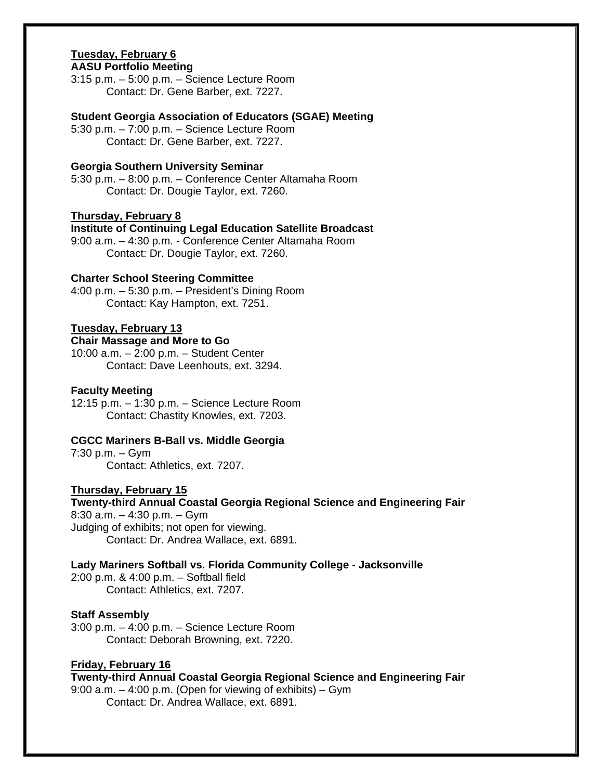# **Tuesday, February 6**

# **AASU Portfolio Meeting**

3:15 p.m. – 5:00 p.m. – Science Lecture Room Contact: Dr. Gene Barber, ext. 7227.

#### **Student Georgia Association of Educators (SGAE) Meeting**

5:30 p.m. – 7:00 p.m. – Science Lecture Room Contact: Dr. Gene Barber, ext. 7227.

#### **Georgia Southern University Seminar**

5:30 p.m. – 8:00 p.m. – Conference Center Altamaha Room Contact: Dr. Dougie Taylor, ext. 7260.

#### **Thursday, February 8**

**Institute of Continuing Legal Education Satellite Broadcast**  9:00 a.m. – 4:30 p.m. - Conference Center Altamaha Room Contact: Dr. Dougie Taylor, ext. 7260.

#### **Charter School Steering Committee**

4:00 p.m. – 5:30 p.m. – President's Dining Room Contact: Kay Hampton, ext. 7251.

#### **Tuesday, February 13**

# **Chair Massage and More to Go**

10:00 a.m. – 2:00 p.m. – Student Center Contact: Dave Leenhouts, ext. 3294.

#### **Faculty Meeting**

12:15 p.m. – 1:30 p.m. – Science Lecture Room Contact: Chastity Knowles, ext. 7203.

#### **CGCC Mariners B-Ball vs. Middle Georgia**

7:30 p.m. – Gym Contact: Athletics, ext. 7207.

#### **Thursday, February 15**

**Twenty-third Annual Coastal Georgia Regional Science and Engineering Fair**  8:30 a.m. – 4:30 p.m. – Gym Judging of exhibits; not open for viewing.

Contact: Dr. Andrea Wallace, ext. 6891.

# **Lady Mariners Softball vs. Florida Community College - Jacksonville**

2:00 p.m. & 4:00 p.m. – Softball field Contact: Athletics, ext. 7207.

#### **Staff Assembly**

3:00 p.m. – 4:00 p.m. – Science Lecture Room Contact: Deborah Browning, ext. 7220.

#### **Friday, February 16**

**Twenty-third Annual Coastal Georgia Regional Science and Engineering Fair**  9:00 a.m. – 4:00 p.m. (Open for viewing of exhibits) – Gym Contact: Dr. Andrea Wallace, ext. 6891.